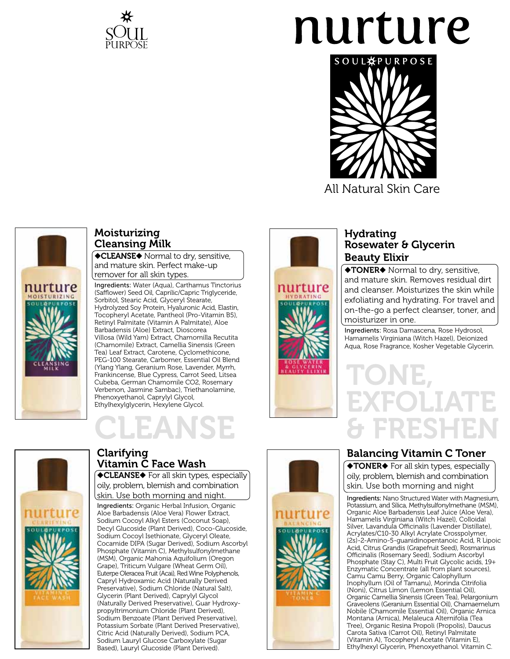

# nurture



All Natural Skin Care



### Moisturizing Cleansing Milk

**CLEANSE** Mormal to dry, sensitive, and mature skin. Perfect make-up remover for all skin types.

Ingredients: Water (Aqua), Carthamus Tinctorius (Safflower) Seed Oil, Caprilic/Capric Triglyceride, Sorbitol, Stearic Acid, Glyceryl Stearate, Hydrolyzed Soy Protein, Hyaluronic Acid, Elastin, Tocopheryl Acetate, Pantheol (Pro-Vitamin B5), Retinyl Palmitate (Vitamin A Palmitate), Aloe Barbadensis (Aloe) Extract, Dioscorea Villosa (Wild Yam) Extract, Chamomilla Recutita (Chamomile) Extract, Camellia Sinensis (Green Tea) Leaf Extract, Carotene, Cyclomethicone, PEG-100 Stearate, Carbomer, Essential Oil Blend (Ylang Ylang, Geranium Rose, Lavender, Myrrh, Frankincense, Blue Cypress, Carrot Seed, Litsea Cubeba, German Chamomile CO2, Rosemary Verbenon, Jasmine Sambac), Triethanolamine, Phenoxyethanol, Caprylyl Glycol, Ethylhexylglycerin, Hexylene Glycol.

## **.EANSE**



### Clarifying Vitamin C Face Wash

**CLEANSE** For all skin types, especially oily, problem, blemish and combination skin. Use both morning and night.

Ingredients: Organic Herbal Infusion, Organic Aloe Barbadensis (Aloe Vera) Flower Extract, Sodium Cocoyl Alkyl Esters (Coconut Soap), Decyl Glucoside (Plant Derived), Coco-Glucoside, Sodium Cocoyl Isethionate, Glyceryl Oleate, Cocamide DIPA (Sugar Derived), Sodium Ascorbyl Phosphate (Vitamin C), Methylsulfonylmethane (MSM), Organic Mahonia Aquifolium (Oregon Grape), Triticum Vulgare (Wheat Germ Oil), Euterpe Oleracea Fruit (Acai), Red Wine Polyphenols, Capryl Hydroxamic Acid (Naturally Derived Preservative), Sodium Chloride (Natural Salt), Glycerin (Plant Derived), Caprylyl Glycol (Naturally Derived Preservative), Guar Hydroxypropyltrimonium Chloride (Plant Derived), Sodium Benzoate (Plant Derived Preservative), Potassium Sorbate (Plant Derived Preservative), Citric Acid (Naturally Derived), Sodium PCA, Sodium Lauryl Glucose Carboxylate (Sugar Based), Lauryl Glucoside (Plant Derived).



nurture

### Hydrating Rosewater & Glycerin Beauty Elixir

**TONER**<sup>+</sup> Normal to dry, sensitive, and mature skin. Removes residual dirt and cleanser. Moisturizes the skin while exfoliating and hydrating. For travel and on-the-go a perfect cleanser, toner, and moisturizer in one.

Ingredients: Rosa Damascena, Rose Hydrosol, Hamamelis Virginiana (Witch Hazel), Deionized Aqua, Rose Fragrance, Kosher Vegetable Glycerin.



## Balancing Vitamin C Toner

**TONER** For all skin types, especially oily, problem, blemish and combination skin. Use both morning and night

Ingredients: Nano Structured Water with Magnesium, Potassium, and Silica, Methylsulfonylmethane (MSM), Organic Aloe Barbadensis Leaf Juice (Aloe Vera), Hamamelis Virginiana (Witch Hazel), Colloidal Silver, Lavandula Officinalis (Lavender Distillate), Acrylates/C10-30 Alkyl Acrylate Crosspolymer, (2s)-2-Amino-5-guanidinopentanoic Acid, R Lipoic Acid, Citrus Grandis (Grapefruit Seed), Rosmarinus Officinalis (Rosemary Seed), Sodium Ascorbyl Phosphate (Stay C), Multi Fruit Glycolic acids, 19+ Enzymatic Concentrate (all from plant sources), Camu Camu Berry, Organic Calophyllum Inophyllum (Oil of Tamanu), Morinda Citrifolia (Noni), Citrus Limon (Lemon Essential Oil), Organic Camellia Sinensis (Green Tea), Pelargonium Graveolens (Geranium Essential Oil), Chamaemelum Nobile (Chamomile Essential Oil), Organic Arnica Montana (Arnica), Melaleuca Alternifolia (Tea Tree), Organic Resina Propoli (Propolis), Daucus Carota Sativa (Carrot Oil), Retinyl Palmitate (Vitamin A), Tocopheryl Acetate (Vitamin E), Ethylhexyl Glycerin, Phenoxyethanol. Vitamin C.